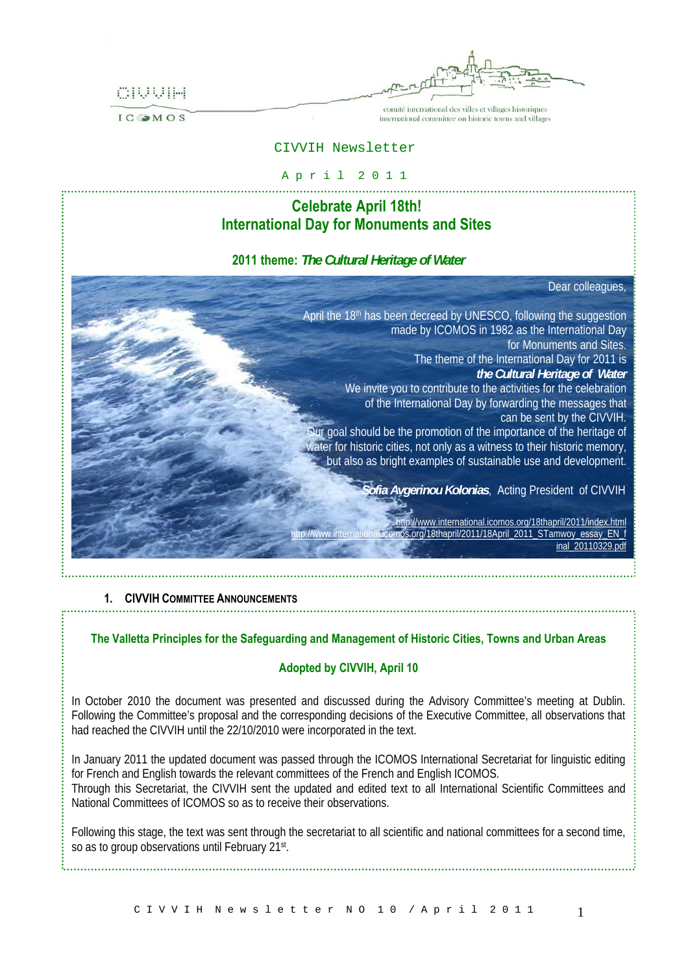

÷.

comité international des villes et villages historiques international committee on historic towns and villages

#### CIVVIH Newsletter

# A p r i l 2 0 1 1

## **Celebrate April 18th! International Day for Monuments and Sites**

## **2011 theme:** *The Cultural Heritage of Water*

Dear colleagues,

[inal\\_20110329.pdf](http://www.international.icomos.org/18thapril/2011/18April_2011_STamwoy_essay_EN_final_20110329.pdf)

April the 18<sup>th</sup> has been decreed by UNESCO, following the suggestion made by ICOMOS in 1982 as the International Day for Monuments and Sites. The theme of the International Day for 2011 is *the Cultural Heritage of Water* We invite you to contribute to the activities for the celebration of the International Day by forwarding the messages that can be sent by the CIVVIH. Our goal should be the promotion of the importance of the heritage of water for historic cities, not only as a witness to their historic memory, but also as bright examples of sustainable use and development. *Sofia Avgerinou Kolonias*, Acting President of CIVVIH <http://www.international.icomos.org/18thapril/2011/index.html> mos.org/18thapril/2011/18April\_2011\_STamwoy\_essay\_EN\_f

## **1. CIVVIH COMMITTEE ANNOUNCEMENTS**

## **The Valletta Principles for the Safeguarding and Management of Historic Cities, Towns and Urban Areas**

## **Adopted by CIVVIH, April 10**

In October 2010 the document was presented and discussed during the Advisory Committee's meeting at Dublin. Following the Committee's proposal and the corresponding decisions of the Executive Committee, all observations that had reached the CIVVIH until the 22/10/2010 were incorporated in the text.

In January 2011 the updated document was passed through the ICOMOS International Secretariat for linguistic editing for French and English towards the relevant committees of the French and English ICOMOS. Through this Secretariat, the CIVVIH sent the updated and edited text to all International Scientific Committees and National Committees of ICOMOS so as to receive their observations.

Following this stage, the text was sent through the secretariat to all scientific and national committees for a second time, so as to group observations until February 21st.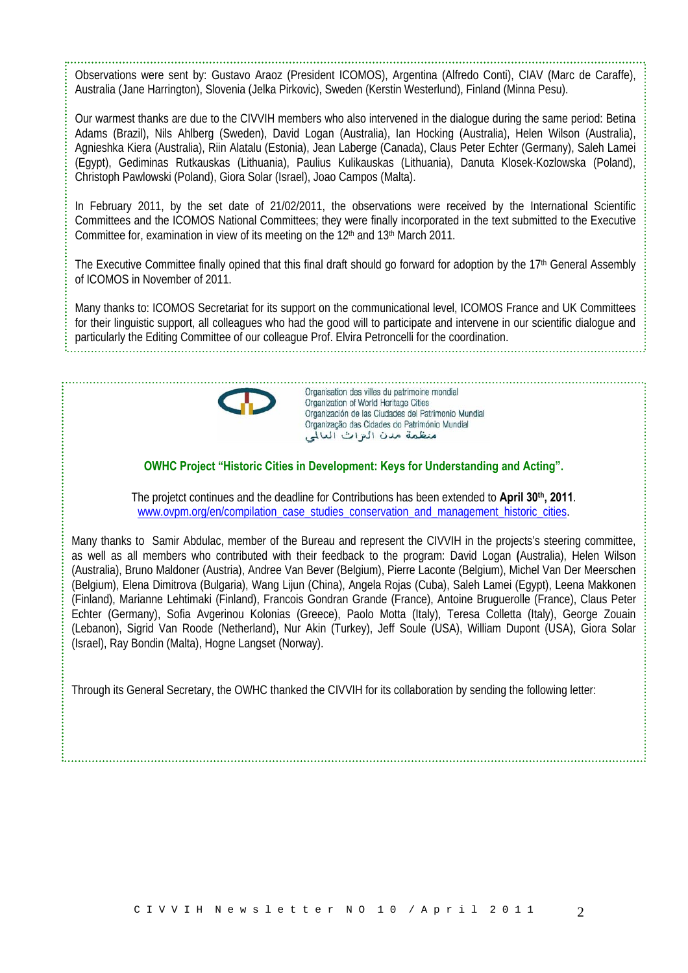Observations were sent by: Gustavo Araoz (President ICOMOS), Argentina (Alfredo Conti), CIAV (Marc de Caraffe), Australia (Jane Harrington), Slovenia (Jelka Pirkovic), Sweden (Kerstin Westerlund), Finland (Minna Pesu).

Our warmest thanks are due to the CIVVIH members who also intervened in the dialogue during the same period: Betina Adams (Brazil), Nils Ahlberg (Sweden), David Logan (Australia), Ian Hocking (Australia), Helen Wilson (Australia), Agnieshka Kiera (Australia), Riin Alatalu (Estonia), Jean Laberge (Canada), Claus Peter Echter (Germany), Saleh Lamei (Egypt), Gediminas Rutkauskas (Lithuania), Paulius Kulikauskas (Lithuania), Danuta Klosek-Kozlowska (Poland), Christoph Pawlowski (Poland), Giora Solar (Israel), Joao Campos (Malta).

In February 2011, by the set date of 21/02/2011, the observations were received by the International Scientific Committees and the ICOMOS National Committees; they were finally incorporated in the text submitted to the Executive Committee for, examination in view of its meeting on the 12<sup>th</sup> and 13<sup>th</sup> March 2011.

The Executive Committee finally opined that this final draft should go forward for adoption by the 17<sup>th</sup> General Assembly of ICOMOS in November of 2011.

Many thanks to: ICOMOS Secretariat for its support on the communicational level, ICOMOS France and UK Committees for their linguistic support, all colleagues who had the good will to participate and intervene in our scientific dialogue and particularly the Editing Committee of our colleague Prof. Elvira Petroncelli for the coordination.



Organisation des villes du patrimoine mondial Organization of World Heritage Cities Organización de las Ciudades del Patrimonio Mundial Organização das Cidades do Património Mundial منظمة مدن التزات العالمي

**OWHC Project "Historic Cities in Development: Keys for Understanding and Acting".** 

The projetct continues and the deadline for Contributions has been extended to **April 30<sup>th</sup>**, 2011. [www.ovpm.org/en/compilation\\_case\\_studies\\_conservation\\_and\\_management\\_historic\\_cities](https://ermis.arch.ntua.gr/exchweb/bin/redir.asp?URL=http://www.ovpm.org/en/compilation_case_studies_conservation_and_management_historic_cities).

Many thanks to Samir Abdulac, member of the Bureau and represent the CIVVIH in the projects's steering committee, as well as all members who contributed with their feedback to the program: David Logan **(**Australia), Helen Wilson (Australia), Bruno Maldoner (Austria), Andree Van Bever (Belgium), Pierre Laconte (Belgium), Michel Van Der Meerschen (Belgium), Elena Dimitrova (Bulgaria), Wang Lijun (China), Angela Rojas (Cuba), Saleh Lamei (Egypt), Leena Makkonen (Finland), Marianne Lehtimaki (Finland), Francois Gondran Grande (France), Antoine Bruguerolle (France), Claus Peter Echter (Germany), Sofia Avgerinou Kolonias (Greece), Paolo Motta (Italy), Teresa Colletta (Italy), George Zouain (Lebanon), Sigrid Van Roode (Netherland), Nur Akin (Turkey), Jeff Soule (USA), William Dupont (USA), Giora Solar (Israel), Ray Bondin (Malta), Hogne Langset (Norway).

Through its General Secretary, the OWHC thanked the CIVVIH for its collaboration by sending the following letter: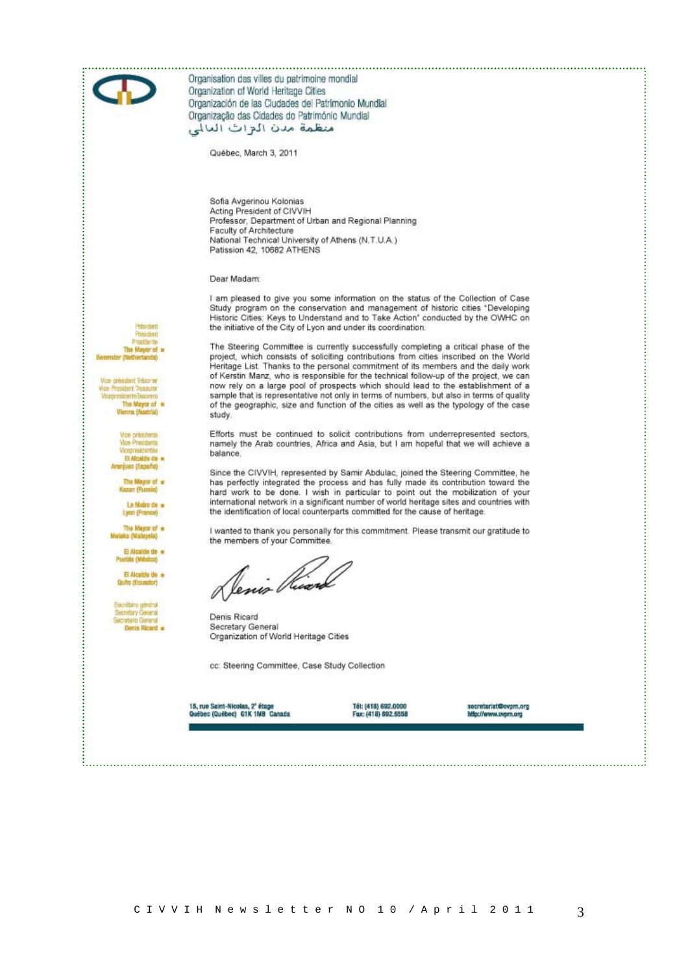

Organisation des villes du patrimoine mondial Organization of World Heritage Cities Organización de las Cludades del Patrimonio Mundial Organização das Cidades do Património Mundial منظمة مدن البراث العالى

Québec, March 3, 2011

Sofia Avgerinou Kolonias Acting President of CIVVIH Professor, Department of Urban and Regional Planning Faculty of Architecture National Technical University of Athens (N.T.U.A.) Patission 42, 10682 ATHENS

Dear Madam:

I am pleased to give you some information on the status of the Collection of Case Study program on the conservation and management of historic cities "Developing Historic Cities: Keys to Understand and to Take Action' conducted by the OWHC on the initiative of the City of Lyon and under its coordination.

The Steering Committee is currently successfully completing a critical phase of the project, which consists of soliciting contributions from cities inscribed on the World Heritage List. Thanks to the personal commitment of its members and the daily work of Kerstin Manz, who is responsible for the technical follow-up of the project, we can now rely on a large pool of prospects which should lead to the establishment of a sample that is representative not only in terms of numbers, but also in terms of quality of the geographic, size and function of the cities as well as the typology of the case study

Efforts must be continued to solicit contributions from underrepresented sectors, namely the Arab countries, Africa and Asia, but I am hopeful that we will achieve a balance.

Since the CIVVIH, represented by Samir Abdulac, joined the Steering Committee, he has perfectly integrated the process and has fully made its contribution toward the hard work to be done. I wish in particular to point out the mobilization of your international network in a significant number of world heritage sites and countries with the identification of local counterparts committed for the cause of heritage

I wanted to thank you personally for this commitment. Please transmit our gratitude to the members of your Committee.

Venis Ve

Denis Ricard Secretary General Organization of World Heritage Cities

cc: Steering Committee, Case Study Collection

15, rue Saint-Nicolas, 2° étage<br>Québec (Québec) G1K 1MB Cartada

Tél: (418) 692,0000 Fux: (418) 692.5558 socratariat@evpm.org<br>http://www.ovpm.org

**Vice-président Tréapres Vice President Treasurer**<br>Vicepresidente Texasero The Mayor of =<br>Nenna (Austria)

> Vite-présidents Vine Presidents robitardo El Alcalde de la American (Esperant

> > The Mayor of a Kazan (Russia)

La Maire de la Lyon (Prance)

The Mayor of a Mutaka (Malaysia)

El Alcalde de

El Alcalde de a **Outro (Foundar)** 

ecretery General Danie Ricard

 $\mathcal{R}$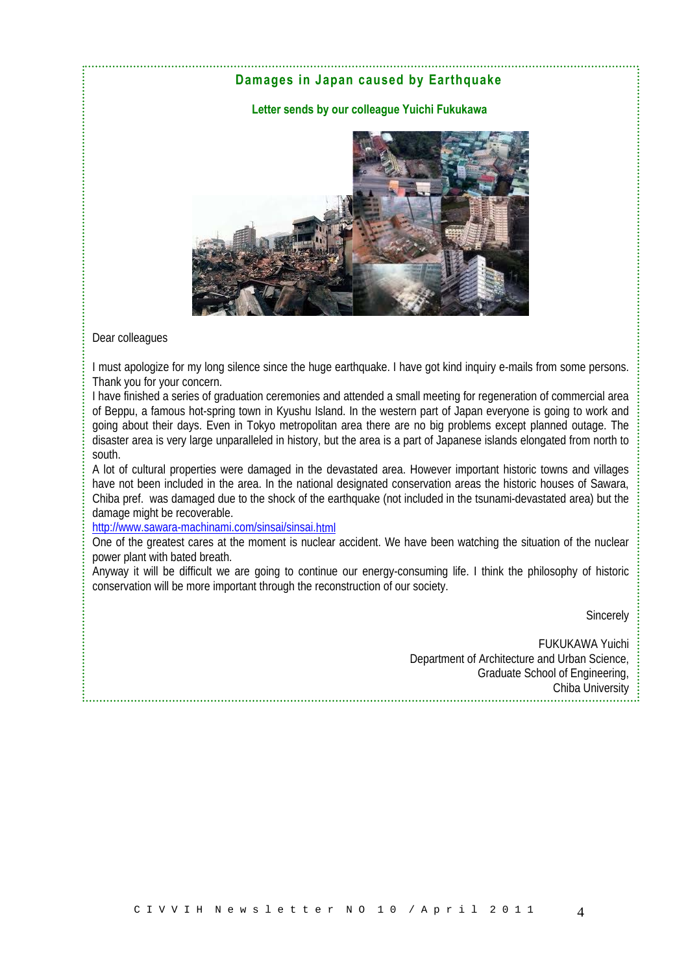## **Damages in Japan caused by Earthquake**

#### **Letter sends by our colleague Yuichi Fukukawa**



Dear colleagues

I must apologize for my long silence since the huge earthquake. I have got kind inquiry e-mails from some persons. Thank you for your concern.

I have finished a series of graduation ceremonies and attended a small meeting for regeneration of commercial area of Beppu, a famous hot-spring town in Kyushu Island. In the western part of Japan everyone is going to work and going about their days. Even in Tokyo metropolitan area there are no big problems except planned outage. The disaster area is very large unparalleled in history, but the area is a part of Japanese islands elongated from north to south.

A lot of cultural properties were damaged in the devastated area. However important historic towns and villages have not been included in the area. In the national designated conservation areas the historic houses of Sawara, Chiba pref. was damaged due to the shock of the earthquake (not included in the tsunami-devastated area) but the damage might be recoverable.

[http://www.sawara-machinami.com/sinsai/sinsai.html](https://ermis.arch.ntua.gr/exchweb/bin/redir.asp?URL=http://www.sawara-machinami.com/sinsai/sinsai.html)

One of the greatest cares at the moment is nuclear accident. We have been watching the situation of the nuclear power plant with bated breath.

Anyway it will be difficult we are going to continue our energy-consuming life. I think the philosophy of historic conservation will be more important through the reconstruction of our society.

**Sincerely** 

FUKUKAWA Yuichi Department of Architecture and Urban Science, Graduate School of Engineering, Chiba University